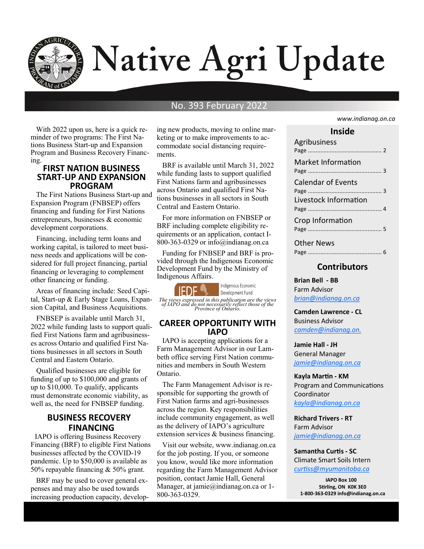

# Native Agri Update

### No. 393 February 2022

 With 2022 upon us, here is a quick reminder of two programs: The First Nations Business Start-up and Expansion Program and Business Recovery Financing.

#### **FIRST NATION BUSINESS START-UP AND EXPANSION PROGRAM**

 The First Nations Business Start-up and Expansion Program (FNBSEP) offers financing and funding for First Nations entrepreneurs, businesses & economic development corporations.

 Financing, including term loans and working capital, is tailored to meet business needs and applications will be considered for full project financing, partial financing or leveraging to complement other financing or funding.

 Areas of financing include: Seed Capital, Start-up & Early Stage Loans, Expansion Capital, and Business Acquisitions.

FNBSEP is available until March 31, 2022 while funding lasts to support qualified First Nations farm and agribusinesses across Ontario and qualified First Nations businesses in all sectors in South Central and Eastern Ontario.

Qualified businesses are eligible for funding of up to \$100,000 and grants of up to \$10,000. To qualify, applicants must demonstrate economic viability, as well as, the need for FNBSEP funding.

#### **BUSINESS RECOVERY FINANCING**

**IAPO** is offering Business Recovery Financing (BRF) to eligible First Nations businesses affected by the COVID-19 pandemic. Up to \$50,000 is available as 50% repayable financing & 50% grant.

 BRF may be used to cover general expenses and may also be used towards increasing production capacity, developing new products, moving to online marketing or to make improvements to accommodate social distancing requirements.

 BRF is available until March 31, 2022 while funding lasts to support qualified First Nations farm and agribusinesses across Ontario and qualified First Nations businesses in all sectors in South Central and Eastern Ontario.

 For more information on FNBSEP or BRF including complete eligibility requirements or an application, contact I-800-363-0329 or info@indianag.on.ca

 Funding for FNBSEP and BRF is provided through the Indigenous Economic Development Fund by the Ministry of Indigenous Affairs.



Indigenous Economic Development Fund

*The views expressed in this publication are the views of IAPO and do not necessarily reflect those of the Province of Ontario.*

#### **CAREER OPPORTUNITY WITH IAPO**

 IAPO is accepting applications for a Farm Management Advisor in our Lambeth office serving First Nation communities and members in South Western Ontario.

 The Farm Management Advisor is responsible for supporting the growth of First Nation farms and agri-businesses across the region. Key responsibilities include community engagement, as well as the delivery of IAPO's agriculture extension services & business financing.

 Visit our website, www.indianag.on.ca for the job posting. If you, or someone you know, would like more information regarding the Farm Management Advisor position, contact Jamie Hall, General Manager, at jamie@indianag.on.ca or 1-800-363-0329.

#### *www.indianag.on.ca*

| Inside                                             |  |  |  |
|----------------------------------------------------|--|--|--|
| Agribusiness                                       |  |  |  |
| Market Information                                 |  |  |  |
| <b>Calendar of Events</b><br>Livestock Information |  |  |  |
| Crop Information                                   |  |  |  |
| Other News                                         |  |  |  |

#### **Contributors**

**Brian Bell - BB** Farm Advisor *bria[n@indianag.on.ca](mailto:jamie@indianag.on.ca)*

**Camden Lawrence - CL** Business Advisor *camden@indianag.on.*

**Jamie Hall - JH** General Manager *[jamie@indianag.on.ca](mailto:jamie@indianag.on.ca)*

**Kayla Martin - KM** Program and Communications Coordinator *kayla@indianag.on.ca*

**Richard Trivers - RT** Farm Advisor *[jamie@indianag.on.ca](mailto:jamie@indianag.on.ca)*

**Samantha Curtis - SC** Climate Smart Soils Intern *curtiss@myumanitoba.ca*

**IAPO Box 100 Stirling, ON K0K 3E0 1-800-363-0329 info@indianag.on.ca**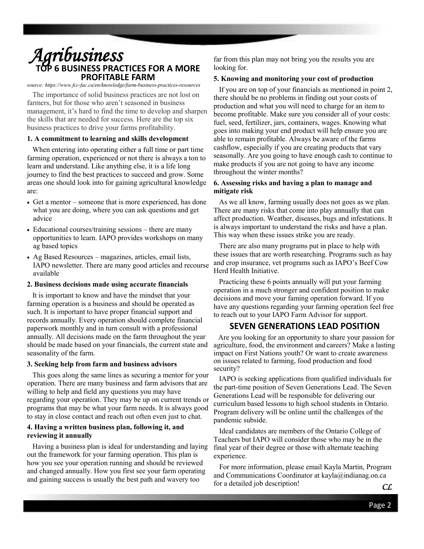## **TESS PRACTICES FOR A MORE PROFITABLE FARM**

*source: https://www.fcc-[fac.ca/en/knowledge/farm](https://www.fcc-fac.ca/en/knowledge/farm-business-practices-resources)-business-practices-resources*

 The importance of solid business practices are not lost on farmers, but for those who aren't seasoned in business management, it's hard to find the time to develop and sharpen the skills that are needed for success. Here are the top six business practices to drive your farms profitability.

#### **1. A commitment to learning and skills development**

 When entering into operating either a full time or part time farming operation, experienced or not there is always a ton to learn and understand. Like anything else, it is a life long journey to find the best practices to succeed and grow. Some areas one should look into for gaining agricultural knowledge are:

- Get a mentor someone that is more experienced, has done what you are doing, where you can ask questions and get advice
- Educational courses/training sessions there are many opportunities to learn. IAPO provides workshops on many ag based topics
- Ag Based Resources magazines, articles, email lists, IAPO newsletter. There are many good articles and recourse available

#### **2. Business decisions made using accurate financials**

 It is important to know and have the mindset that your farming operation is a business and should be operated as such. It is important to have proper financial support and records annually. Every operation should complete financial paperwork monthly and in turn consult with a professional annually. All decisions made on the farm throughout the year should be made based on your financials, the current state and seasonality of the farm.

#### **3. Seeking help from farm and business advisors**

 This goes along the same lines as securing a mentor for your operation. There are many business and farm advisors that are willing to help and field any questions you may have regarding your operation. They may be up on current trends or programs that may be what your farm needs. It is always good to stay in close contact and reach out often even just to chat.

#### **4. Having a written business plan, following it, and reviewing it annually**

 Having a business plan is ideal for understanding and laying out the framework for your farming operation. This plan is how you see your operation running and should be reviewed and changed annually. How you first see your farm operating and gaining success is usually the best path and wavery too

far from this plan may not bring you the results you are looking for.

#### **5. Knowing and monitoring your cost of production**

 If you are on top of your financials as mentioned in point 2, there should be no problems in finding out your costs of production and what you will need to charge for an item to become profitable. Make sure you consider all of your costs: fuel, seed, fertilizer, jars, containers, wages. Knowing what goes into making your end product will help ensure you are able to remain profitable. Always be aware of the farms cashflow, especially if you are creating products that vary seasonally. Are you going to have enough cash to continue to make products if you are not going to have any income throughout the winter months? **Agribusiness PRACTICAS**<br>
TO **EXERCISES AND THE CONSULTERS** TO BE A REVENUE IN THE CONSULTER STATE IN THE CONSULTER CONSULTER CONSULTER CONSULTER CONSULTER CONSULTER CONSULTER CONSULTER CONSULTER CONSULTER CONSULTER CONSUL

#### **6. Assessing risks and having a plan to manage and mitigate risk**

 As we all know, farming usually does not goes as we plan. There are many risks that come into play annually that can affect production. Weather, diseases, bugs and infestations. It is always important to understand the risks and have a plan. This way when these issues strike you are ready.

 There are also many programs put in place to help with these issues that are worth researching. Programs such as hay and crop insurance, vet programs such as IAPO's Beef Cow Herd Health Initiative.

 Practicing these 6 points annually will put your farming operation in a much stronger and confident position to make decisions and move your faming operation forward. If you have any questions regarding your farming operation feel free to reach out to your IAPO Farm Advisor for support.

#### **SEVEN GENERATIONS LEAD POSITION**

 Are you looking for an opportunity to share your passion for agriculture, food, the environment and careers? Make a lasting impact on First Nations youth? Or want to create awareness on issues related to farming, food production and food security?

 IAPO is seeking applications from qualified individuals for the part-time position of Seven Generations Lead. The Seven Generations Lead will be responsible for delivering our curriculum based lessons to high school students in Ontario. Program delivery will be online until the challenges of the pandemic subside.

 Ideal candidates are members of the Ontario College of Teachers but IAPO will consider those who may be in the final year of their degree or those with alternate teaching experience.

For more information, please email Kayla Martin, Program and Communications Coordinator at kayla@indianag.on.ca for a detailed job description! *CL*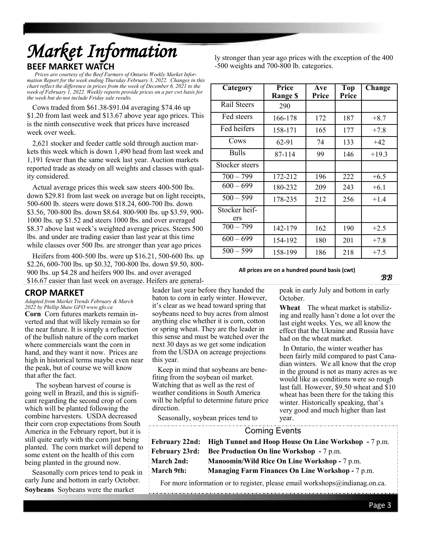## **BEEF MARKET WATCH**  *Market Information*

 *Prices are courtesy of the Beef Farmers of Ontario Weekly Market Information Report for the week ending Thursday February 3, 2022. Changes in this chart reflect the difference in prices from the week of December 6, 2021 to the week of February 1, 2022. Weekly reports provide prices on a per cwt basis for the week but do not include Friday sale results.*

 Cows traded from \$61.38-\$91.04 averaging \$74.46 up \$1.20 from last week and \$13.67 above year ago prices. This is the ninth consecutive week that prices have increased week over week.

 2,621 stocker and feeder cattle sold through auction markets this week which is down 1,490 head from last week and 1,191 fewer than the same week last year. Auction markets reported trade as steady on all weights and classes with quality considered.

 Actual average prices this week saw steers 400-500 lbs. down \$29.81 from last week on average but on light receipts, 500-600 lb. steers were down \$18.24, 600-700 lbs. down \$3.56, 700-800 lbs. down \$8.64. 800-900 lbs. up \$3.59, 900- 1000 lbs. up \$1.52 and steers 1000 lbs. and over averaged \$8.37 above last week's weighted average prices. Steers 500 lbs. and under are trading easier than last year at this time while classes over 500 lbs. are stronger than year ago prices

 Heifers from 400-500 lbs. were up \$16.21, 500-600 lbs. up \$2.26, 600-700 lbs. up \$0.32, 700-800 lbs. down \$9.50, 800- 900 lbs. up \$4.28 and heifers 900 lbs. and over averaged \$16.67 easier than last week on average. Heifers are general-

#### ly stronger than year ago prices with the exception of the 400 -500 weights and 700-800 lb. categories.

| Category             | Price<br><b>Range \$</b> | Ave<br>Price | Top<br>Price | Change  |
|----------------------|--------------------------|--------------|--------------|---------|
| Rail Steers          | 290                      |              |              |         |
| Fed steers           | 166-178                  | 172          | 187          | $+8.7$  |
| Fed heifers          | 158-171                  | 165          | 177          | $+7.8$  |
| Cows                 | 62-91                    | 74           | 133          | $+42$   |
| <b>Bulls</b>         | 87-114                   | 99           | 146          | $+19.3$ |
| Stocker steers       |                          |              |              |         |
| $700 - 799$          | 172-212                  | 196          | 222          | $+6.5$  |
| $600 - 699$          | 180-232                  | 209          | 243          | $+6.1$  |
| $500 - 599$          | 178-235                  | 212          | 256          | $+1.4$  |
| Stocker heif-<br>ers |                          |              |              |         |
| $700 - 799$          | 142-179                  | 162          | 190          | $+2.5$  |
| $600 - 699$          | 154-192                  | 180          | 201          | $+7.8$  |
| $500 - 599$          | 158-199                  | 186          | 218          | $+7.5$  |

#### **All prices are on a hundred pound basis (cwt)**

*BB* 

*Adapted from Market Trends February & March 2022 by Phillip Shaw GFO www.gfo.ca* 

**Corn** Corn futures markets remain inverted and that will likely remain so for the near future. It is simply a reflection of the bullish nature of the corn market where commercials want the corn in hand, and they want it now. Prices are high in historical terms maybe even near the peak, but of course we will know that after the fact.

 The soybean harvest of course is going well in Brazil, and this is significant regarding the second crop of corn which will be planted following the combine harvesters. USDA decreased their corn crop expectations from South America in the February report, but it is still quite early with the corn just being planted. The corn market will depend to some extent on the health of this corn being planted in the ground now.

 Seasonally corn prices tend to peak in early June and bottom in early October. **Soybeans** Soybeans were the market

leader last year before they handed the baton to corn in early winter. However, it's clear as we head toward spring that soybeans need to buy acres from almost anything else whether it is corn, cotton or spring wheat. They are the leader in this sense and must be watched over the next 30 days as we get some indication from the USDA on acreage projections this year.

 Keep in mind that soybeans are benefiting from the soybean oil market. Watching that as well as the rest of weather conditions in South America will be helpful to determine future price direction.

Seasonally, soybean prices tend to

peak in early July and bottom in early October.

**Wheat** The wheat market is stabilizing and really hasn't done a lot over the last eight weeks. Yes, we all know the effect that the Ukraine and Russia have had on the wheat market.

 In Ontario, the winter weather has been fairly mild compared to past Canadian winters. We all know that the crop in the ground is not as many acres as we would like as conditions were so rough last fall. However, \$9.50 wheat and \$10 wheat has been there for the taking this winter. Historically speaking, that's very good and much higher than last year.

CROP MARKET<br> **CROP MARKET CROP (SECULAT CROP TO the CROP TO A CONDENT (SECULAT THE SECULATION IS the case of the second to the second for the second the second that when the where the second to the best as the control of** Coming Events **February 22nd: High Tunnel and Hoop House On Line Workshop -** 7 p.m. **February 23rd: Bee Production On line Workshop -** 7 p.m. **March 2nd: Manoomin/Wild Rice On Line Workshop -** 7 p.m. **March 9th:** Managing Farm Finances On Line Workshop - 7 p.m.

For more information or to register, please email workshops@indianag.on.ca.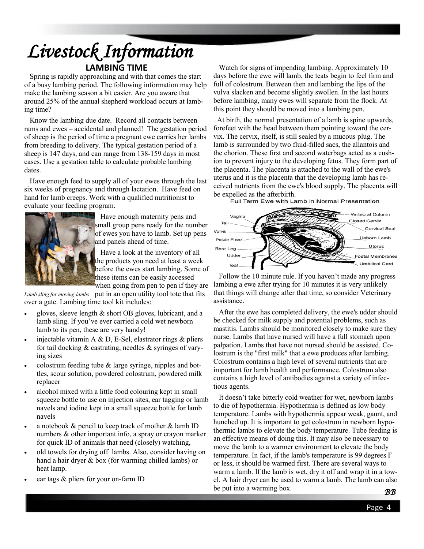## **LAMBING TIME** *Livestock Information*

 Spring is rapidly approaching and with that comes the start of a busy lambing period. The following information may help make the lambing season a bit easier. Are you aware that around 25% of the annual shepherd workload occurs at lambing time?

 Know the lambing due date. Record all contacts between rams and ewes – accidental and planned! The gestation period of sheep is the period of time a pregnant ewe carries her lambs from breeding to delivery. The typical gestation period of a sheep is 147 days, and can range from 138-159 days in most cases. Use a gestation table to calculate probable lambing dates.

 Have enough feed to supply all of your ewes through the last six weeks of pregnancy and through lactation. Have feed on hand for lamb creeps. Work with a qualified nutritionist to evaluate your feeding program.



 Have enough maternity pens and small group pens ready for the number of ewes you have to lamb. Set up pens and panels ahead of time.

 Have a look at the inventory of all the products you need at least a week before the ewes start lambing. Some of these items can be easily accessed when going from pen to pen if they are

*Lamb sling for moving lambs* put in an open utility tool tote that fits over a gate. Lambing time tool kit includes:

- gloves, sleeve length & short OB gloves, lubricant, and a lamb sling. If you've ever carried a cold wet newborn lamb to its pen, these are very handy!
- injectable vitamin A & D, E-Sel, elastrator rings  $\&$  pliers for tail docking & castrating, needles & syringes of varying sizes
- colostrum feeding tube  $&$  large syringe, nipples and bottles, scour solution, powdered colostrum, powdered milk replacer
- alcohol mixed with a little food colouring kept in small squeeze bottle to use on injection sites, ear tagging or lamb navels and iodine kept in a small squeeze bottle for lamb navels
- a notebook & pencil to keep track of mother & lamb ID numbers & other important info, a spray or crayon marker for quick ID of animals that need (closely) watching,
- old towels for drying off lambs. Also, consider having on hand a hair dryer & box (for warming chilled lambs) or heat lamp.
- ear tags  $&$  pliers for your on-farm ID

 Watch for signs of impending lambing. Approximately 10 days before the ewe will lamb, the teats begin to feel firm and full of colostrum. Between then and lambing the lips of the vulva slacken and become slightly swollen. In the last hours before lambing, many ewes will separate from the flock. At this point they should be moved into a lambing pen.

 At birth, the normal presentation of a lamb is spine upwards, forefeet with the head between them pointing toward the cervix. The cervix, itself, is still sealed by a mucous plug. The lamb is surrounded by two fluid-filled sacs, the allantois and the chorion. These first and second waterbags acted as a cushion to prevent injury to the developing fetus. They form part of the placenta. The placenta is attached to the wall of the ewe's uterus and it is the placenta that the developing lamb has received nutrients from the ewe's blood supply. The placenta will be expelled as the afterbirth.<br>Full Term Ewe with Lamb in Normal Presentation



 Follow the 10 minute rule. If you haven't made any progress lambing a ewe after trying for 10 minutes it is very unlikely that things will change after that time, so consider Veterinary assistance.

 After the ewe has completed delivery, the ewe's udder should be checked for milk supply and potential problems, such as mastitis. Lambs should be monitored closely to make sure they nurse. Lambs that have nursed will have a full stomach upon palpation. Lambs that have not nursed should be assisted. Colostrum is the "first milk" that a ewe produces after lambing. Colostrum contains a high level of several nutrients that are important for lamb health and performance. Colostrum also contains a high level of antibodies against a variety of infectious agents.

 It doesn't take bitterly cold weather for wet, newborn lambs to die of hypothermia. Hypothermia is defined as low body temperature. Lambs with hypothermia appear weak, gaunt, and hunched up. It is important to get colostrum in newborn hypothermic lambs to elevate the body temperature. Tube feeding is an effective means of doing this. It may also be necessary to move the lamb to a warmer environment to elevate the body temperature. In fact, if the lamb's temperature is 99 degrees F or less, it should be warmed first. There are several ways to warm a lamb. If the lamb is wet, dry it off and wrap it in a towel. A hair dryer can be used to warm a lamb. The lamb can also be put into a warming box.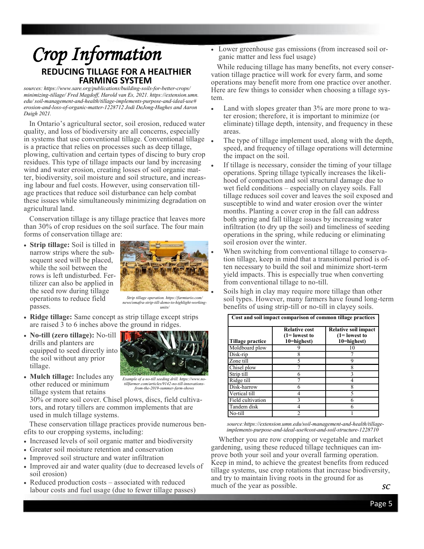## **REDUCING TILLAGE FOR A HEALTHIER FARMING SYSTEM** *Crop Information*

*sources: https://www.sare.org/publications/building-soils-for-better-crops/ minimizing-tillage/ Fred Magdoff, Harold van Es, 2021. https://extension.umn. edu/ soil-management-and-health/tillage-implements-purpose-and-ideal-use# erosion-and-loss-of-organic-matter-1228712 Jodi DeJong-Hughes and Aaron Daigh 2021.*

 In Ontario's agricultural sector, soil erosion, reduced water quality, and loss of biodiversity are all concerns, especially in systems that use conventional tillage. Conventional tillage is a practice that relies on processes such as deep tillage, plowing, cultivation and certain types of discing to bury crop residues. This type of tillage impacts our land by increasing wind and water erosion, creating losses of soil organic matter, biodiversity, soil moisture and soil structure, and increasing labour and fuel costs. However, using conservation tillage practices that reduce soil disturbance can help combat these issues while simultaneously minimizing degradation on agricultural land.

 Conservation tillage is any tillage practice that leaves more than 30% of crop residues on the soil surface. The four main forms of conservation tillage are:

• **Strip tillage:** Soil is tilled in narrow strips where the subsequent seed will be placed, while the soil between the rows is left undisturbed. Fertilizer can also be applied in the seed row during tillage operations to reduce field passes.



*Strip tillage operation. https://farmtario.com/ news/omafra-strip-till-demo-to-highlight-workingunits/*

- **Ridge tillage:** Same concept as strip tillage except strips are raised 3 to 6 inches above the ground in ridges.
- **No-till (zero tillage):** No-till drills and planters are equipped to seed directly into the soil without any prior tillage.
- **Mulch tillage:** Includes any other reduced or minimum tillage system that retains



*tillfarmer.com/articles/9142-no-till-innovationsfrom-the-2019-summer-farm-shows* 

30% or more soil cover. Chisel plows, discs, field cultivators, and rotary tillers are common implements that are used in mulch tillage systems.

 These conservation tillage practices provide numerous benefits to our cropping systems, including:

- Increased levels of soil organic matter and biodiversity
- Greater soil moisture retention and conservation
- Improved soil structure and water infiltration
- Improved air and water quality (due to decreased levels of soil erosion)
- Reduced production costs associated with reduced labour costs and fuel usage (due to fewer tillage passes)

• Lower greenhouse gas emissions (from increased soil organic matter and less fuel usage)

 While reducing tillage has many benefits, not every conservation tillage practice will work for every farm, and some operations may benefit more from one practice over another. Here are few things to consider when choosing a tillage system.

- Land with slopes greater than 3% are more prone to water erosion; therefore, it is important to minimize (or eliminate) tillage depth, intensity, and frequency in these areas.
- The type of tillage implement used, along with the depth, speed, and frequency of tillage operations will determine the impact on the soil.
- If tillage is necessary, consider the timing of your tillage operations. Spring tillage typically increases the likelihood of compaction and soil structural damage due to wet field conditions – especially on clayey soils. Fall tillage reduces soil cover and leaves the soil exposed and susceptible to wind and water erosion over the winter months. Planting a cover crop in the fall can address both spring and fall tillage issues by increasing water infiltration (to dry up the soil) and timeliness of seeding operations in the spring, while reducing or eliminating soil erosion over the winter.
	- When switching from conventional tillage to conservation tillage, keep in mind that a transitional period is often necessary to build the soil and minimize short-term yield impacts. This is especially true when converting from conventional tillage to no-till.

Soils high in clay may require more tillage than other soil types. However, many farmers have found long-term benefits of using strip-till or no-till in clayey soils.

| Tillage practice  | <b>Relative cost</b><br>$(1 =$ lowest to<br>10=highest) | Relative soil impact<br>$(1 =$ lowest to<br>10=highest) |
|-------------------|---------------------------------------------------------|---------------------------------------------------------|
| Moldboard plow    |                                                         |                                                         |
| Disk-rip          |                                                         |                                                         |
| Zone till         |                                                         |                                                         |
| Chisel plow       |                                                         | 8                                                       |
| Strip till        |                                                         |                                                         |
| Ridge till        |                                                         |                                                         |
| Disk-harrow       |                                                         |                                                         |
| Vertical till     |                                                         |                                                         |
| Field cultivation |                                                         |                                                         |
| Tandem disk       |                                                         |                                                         |
| No-till           |                                                         |                                                         |

 *source:[https://extension.umn.edu/soil](https://extension.umn.edu/soil-management-and-health/tillage-implements-purpose-and-ideal-use#cost-and-soil-structure-1228710)-management-and-health/tillage[implements](https://extension.umn.edu/soil-management-and-health/tillage-implements-purpose-and-ideal-use#cost-and-soil-structure-1228710)-purpose-and-ideal-use#cost-and-soil-structure-1228710*

 Whether you are row cropping or vegetable and market gardening, using these reduced tillage techniques can improve both your soil and your overall farming operation. Keep in mind, to achieve the greatest benefits from reduced tillage systems, use crop rotations that increase biodiversity, and try to maintain living roots in the ground for as much of the year as possible. *SC*